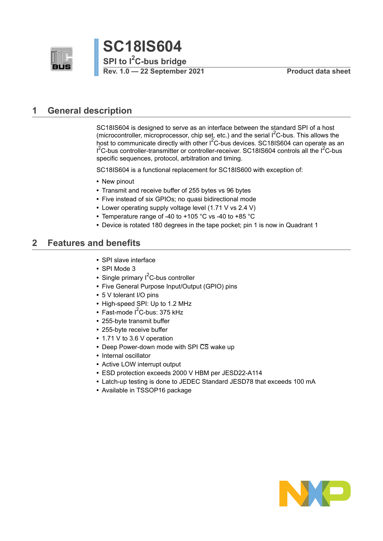



### <span id="page-0-0"></span>**1 General description**

SC18IS604 is designed to serve as an interface between the standard SPI of a host (microcontroller, microprocessor, chip set, etc.) and the serial  $1<sup>2</sup>C$ -bus. This allows the host to communicate directly with other I<sup>2</sup>C-bus devices. SC18IS604 can operate as an  $I^2$ C-bus controller-transmitter or controller-receiver. SC18IS604 controls all the  $I^2$ C-bus specific sequences, protocol, arbitration and timing.

SC18IS604 is a functional replacement for SC18IS600 with exception of:

- **•** New pinout
- **•** Transmit and receive buffer of 255 bytes vs 96 bytes
- **•** Five instead of six GPIOs; no quasi bidirectional mode
- **•** Lower operating supply voltage level (1.71 V vs 2.4 V)
- **•** Temperature range of -40 to +105 °C vs -40 to +85 °C
- **•** Device is rotated 180 degrees in the tape pocket; pin 1 is now in Quadrant 1

### <span id="page-0-1"></span>**2 Features and benefits**

- **•** SPI slave interface
- **•** SPI Mode 3
- Single primary I<sup>2</sup>C-bus controller
- **•** Five General Purpose Input/Output (GPIO) pins
- **•** 5 V tolerant I/O pins
- **•** High-speed SPI: Up to 1.2 MHz
- Fast-mode I<sup>2</sup>C-bus: 375 kHz
- **•** 255-byte transmit buffer
- **•** 255-byte receive buffer
- **•** 1.71 V to 3.6 V operation
- **•** Deep Power-down mode with SPI CS wake up
- **•** Internal oscillator
- **•** Active LOW interrupt output
- **•** ESD protection exceeds 2000 V HBM per JESD22-A114
- **•** Latch-up testing is done to JEDEC Standard JESD78 that exceeds 100 mA
- **•** Available in TSSOP16 package

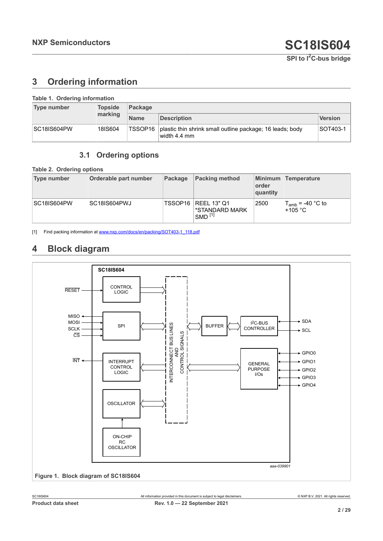## <span id="page-1-4"></span><span id="page-1-0"></span>**3 Ordering information**

| Table 1. Ordering information |                |             |                                                                                     |                |  |  |
|-------------------------------|----------------|-------------|-------------------------------------------------------------------------------------|----------------|--|--|
| <b>Type number</b>            | <b>Topside</b> | Package     |                                                                                     |                |  |  |
|                               | marking        | <b>Name</b> | <b>Description</b>                                                                  | <b>Version</b> |  |  |
| <b>SC18IS604PW</b>            | 18IS604        |             | TSSOP16   plastic thin shrink small outline package; 16 leads; body<br>width 4.4 mm | SOT403-1       |  |  |

## <span id="page-1-5"></span><span id="page-1-2"></span><span id="page-1-1"></span>**3.1 Ordering options**

**Table 2. Ordering options**

| Type number        | Orderable part number | Package | <b>Packing method</b>                                           | order<br>quantity | Minimum Temperature                        |
|--------------------|-----------------------|---------|-----------------------------------------------------------------|-------------------|--------------------------------------------|
| <b>SC18IS604PW</b> | SC18IS604PWJ          |         | TSSOP16   REEL 13" Q1<br>*STANDARD MARK<br>$SMD$ <sup>[1]</sup> | 2500              | $T_{amb}$ = -40 °C to<br>+105 $^{\circ}$ C |

[1] Find packing information at [www.nxp.com/docs/en/packing/SOT403-1\\_118.pdf](http://www.nxp.com/docs/en/packing/SOT403-1_118.pdf)

## <span id="page-1-6"></span>**4 Block diagram**

<span id="page-1-3"></span>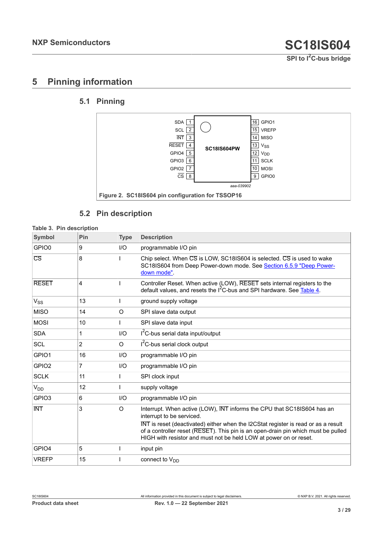## <span id="page-2-2"></span>**5 Pinning information**

## <span id="page-2-3"></span>**5.1 Pinning**

<span id="page-2-1"></span>

### <span id="page-2-4"></span><span id="page-2-0"></span>**5.2 Pin description**

#### **Table 3. Pin description**

| Symbol            | Pin | <b>Type</b> | <b>Description</b>                                                                                                                                                                                                                                                                                                                                   |
|-------------------|-----|-------------|------------------------------------------------------------------------------------------------------------------------------------------------------------------------------------------------------------------------------------------------------------------------------------------------------------------------------------------------------|
| GPIO0             | 9   | 1/O         | programmable I/O pin                                                                                                                                                                                                                                                                                                                                 |
| CS                | 8   |             | Chip select. When CS is LOW, SC18IS604 is selected. CS is used to wake<br>SC18IS604 from Deep Power-down mode. See Section 6.5.9 "Deep Power-<br>down mode".                                                                                                                                                                                         |
| <b>RESET</b>      | 4   |             | Controller Reset. When active (LOW), RESET sets internal registers to the<br>default values, and resets the $I^2C$ -bus and SPI hardware. See Table 4.                                                                                                                                                                                               |
| $V_{SS}$          | 13  |             | ground supply voltage                                                                                                                                                                                                                                                                                                                                |
| <b>MISO</b>       | 14  | $\circ$     | SPI slave data output                                                                                                                                                                                                                                                                                                                                |
| <b>MOSI</b>       | 10  |             | SPI slave data input                                                                                                                                                                                                                                                                                                                                 |
| <b>SDA</b>        | 1   | I/O         | I <sup>2</sup> C-bus serial data input/output                                                                                                                                                                                                                                                                                                        |
| <b>SCL</b>        | 2   | $\circ$     | I <sup>2</sup> C-bus serial clock output                                                                                                                                                                                                                                                                                                             |
| GPIO1             | 16  | I/O         | programmable I/O pin                                                                                                                                                                                                                                                                                                                                 |
| GPIO <sub>2</sub> | 7   | I/O         | programmable I/O pin                                                                                                                                                                                                                                                                                                                                 |
| <b>SCLK</b>       | 11  |             | SPI clock input                                                                                                                                                                                                                                                                                                                                      |
| $V_{DD}$          | 12  |             | supply voltage                                                                                                                                                                                                                                                                                                                                       |
| GPIO <sub>3</sub> | 6   | I/O         | programmable I/O pin                                                                                                                                                                                                                                                                                                                                 |
| <b>INT</b>        | 3   | $\circ$     | Interrupt. When active (LOW), INT informs the CPU that SC18IS604 has an<br>interrupt to be serviced.<br>INT is reset (deactivated) either when the I2CStat register is read or as a result<br>of a controller reset (RESET). This pin is an open-drain pin which must be pulled<br>HIGH with resistor and must not be held LOW at power on or reset. |
| GPIO4             | 5   |             | input pin                                                                                                                                                                                                                                                                                                                                            |
| <b>VREFP</b>      | 15  |             | connect to $V_{DD}$                                                                                                                                                                                                                                                                                                                                  |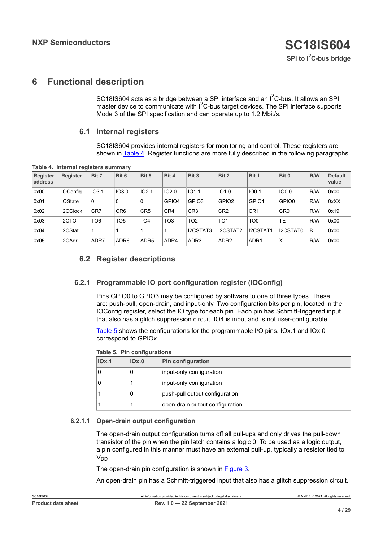## <span id="page-3-3"></span>**6 Functional description**

SC18IS604 acts as a bridge between a SPI interface and an  $I^2C$ -bus. It allows an SPI master device to communicate with  $I<sup>2</sup>C$ -bus target devices. The SPI interface supports Mode 3 of the SPI specification and can operate up to 1.2 Mbit/s.

#### **6.1 Internal registers**

<span id="page-3-2"></span><span id="page-3-0"></span>SC18IS604 provides internal registers for monitoring and control. These registers are shown in [Table](#page-3-0) 4. Register functions are more fully described in the following paragraphs.

| Register<br>address | <b>Register</b>    | Bit 7           | Bit 6            | Bit 5            | Bit 4           | Bit 3             | Bit 2             | Bit 1            | Bit 0           | R/W | <b>Default</b><br>value |
|---------------------|--------------------|-----------------|------------------|------------------|-----------------|-------------------|-------------------|------------------|-----------------|-----|-------------------------|
| 0x00                | <b>IOConfig</b>    | IO3.1           | <b>IO3.0</b>     | IO2.1            | 102.0           | IO1.1             | IO1.0             | IO0.1            | 100.0           | R/W | 0x00                    |
| 0x01                | <b>IOState</b>     | $\mathbf{0}$    | 0                | $\Omega$         | GPIO4           | GPIO <sub>3</sub> | GPIO <sub>2</sub> | GPIO1            | GPIO0           | R/W | 0xXX                    |
| 0x02                | I2CClock           | CR7             | CR <sub>6</sub>  | CR <sub>5</sub>  | CR4             | CR <sub>3</sub>   | CR <sub>2</sub>   | CR <sub>1</sub>  | CR <sub>0</sub> | R/W | 0x19                    |
| 0x03                | I <sub>2</sub> CTO | TO <sub>6</sub> | TO5              | TO4              | TO <sub>3</sub> | TO <sub>2</sub>   | TO <sub>1</sub>   | TO <sub>0</sub>  | <b>TE</b>       | R/W | 0x00                    |
| 0x04                | I2CStat            |                 |                  |                  |                 | I2CSTAT3          | I2CSTAT2          | I2CSTAT1         | I2CSTAT0        | R   | 0x00                    |
| 0x05                | I2CAdr             | ADR7            | ADR <sub>6</sub> | ADR <sub>5</sub> | ADR4            | ADR <sub>3</sub>  | ADR <sub>2</sub>  | ADR <sub>1</sub> | X               | R/W | 0x00                    |

**Table 4. Internal registers summary**

### <span id="page-3-4"></span>**6.2 Register descriptions**

#### **6.2.1 Programmable IO port configuration register (IOConfig)**

<span id="page-3-5"></span>Pins GPIO0 to GPIO3 may be configured by software to one of three types. These are: push-pull, open-drain, and input-only. Two configuration bits per pin, located in the IOConfig register, select the IO type for each pin. Each pin has Schmitt-triggered input that also has a glitch suppression circuit. IO4 is input and is not user-configurable.

[Table](#page-3-1) 5 shows the configurations for the programmable I/O pins. IOx.1 and IOx.0 correspond to GPIOx.

| Table 9. Fill configurations |       |                                 |  |  |  |  |
|------------------------------|-------|---------------------------------|--|--|--|--|
| IOx.1                        | IOX.0 | <b>Pin configuration</b>        |  |  |  |  |
|                              | O     | input-only configuration        |  |  |  |  |
|                              |       | input-only configuration        |  |  |  |  |
|                              | O     | push-pull output configuration  |  |  |  |  |
|                              |       | open-drain output configuration |  |  |  |  |

<span id="page-3-1"></span>**Table 5. Pin configurations**

#### **6.2.1.1 Open-drain output configuration**

<span id="page-3-6"></span>The open-drain output configuration turns off all pull-ups and only drives the pull-down transistor of the pin when the pin latch contains a logic 0. To be used as a logic output, a pin configured in this manner must have an external pull-up, typically a resistor tied to V<sub>DD</sub>.

The open-drain pin configuration is shown in [Figure 3.](#page-4-0)

An open-drain pin has a Schmitt-triggered input that also has a glitch suppression circuit.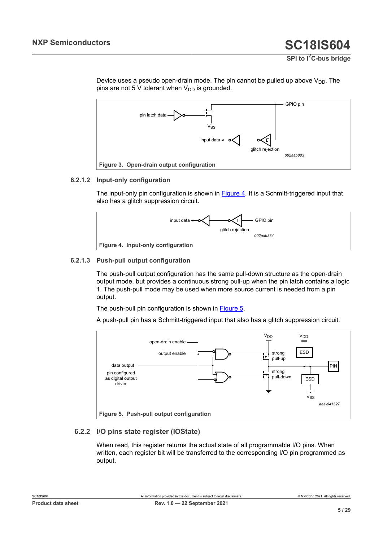**SPI to I2C-bus bridge**



<span id="page-4-0"></span>

#### **6.2.1.2 Input-only configuration**

<span id="page-4-3"></span>The input-only pin configuration is shown in [Figure 4](#page-4-1). It is a Schmitt-triggered input that also has a glitch suppression circuit.

<span id="page-4-1"></span>

#### **6.2.1.3 Push-pull output configuration**

<span id="page-4-4"></span>The push-pull output configuration has the same pull-down structure as the open-drain output mode, but provides a continuous strong pull-up when the pin latch contains a logic 1. The push-pull mode may be used when more source current is needed from a pin output.

The push-pull pin configuration is shown in [Figure 5](#page-4-2).

A push-pull pin has a Schmitt-triggered input that also has a glitch suppression circuit.

<span id="page-4-2"></span>

#### **6.2.2 I/O pins state register (IOState)**

<span id="page-4-5"></span>When read, this register returns the actual state of all programmable I/O pins. When written, each register bit will be transferred to the corresponding I/O pin programmed as output.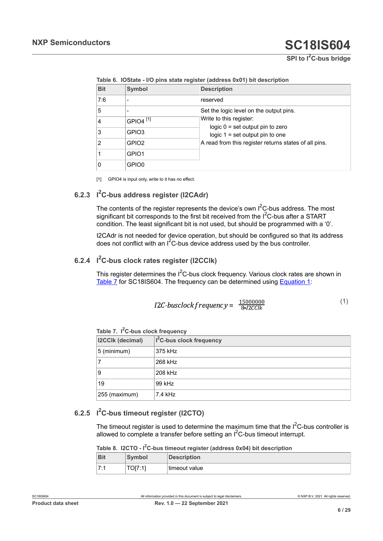**SPI to I2C-bus bridge**

| <b>Bit</b> | <b>Symbol</b>        | <b>Description</b>                                                      |
|------------|----------------------|-------------------------------------------------------------------------|
| 7:6        |                      | reserved                                                                |
| 5          |                      | Set the logic level on the output pins.                                 |
| 4          | GPIO4 <sup>[1]</sup> | Write to this register:                                                 |
| 3          | GPIO3                | logic $0 =$ set output pin to zero<br>logic $1 = set$ output pin to one |
| 2          | GPIO <sub>2</sub>    | A read from this register returns states of all pins.                   |
|            | GPIO1                |                                                                         |
| 0          | GPIO0                |                                                                         |

<span id="page-5-0"></span>**Table 6. IOState - I/O pins state register (address 0x01) bit description**

<span id="page-5-6"></span>[1] GPIO4 is input only, write to it has no effect.

### **6.2.3 I <sup>2</sup>C-bus address register (I2CAdr)**

The contents of the register represents the device's own  $I^2C$ -bus address. The most significant bit corresponds to the first bit received from the  $I^2C$ -bus after a START condition. The least significant bit is not used, but should be programmed with a '0'.

I2CAdr is not needed for device operation, but should be configured so that its address does not conflict with an  $I^2C$ -bus device address used by the bus controller.

### **6.2.4 I <sup>2</sup>C-bus clock rates register (I2CClk)**

<span id="page-5-3"></span><span id="page-5-2"></span>This register determines the  $I^2C$ -bus clock frequency. Various clock rates are shown in [Table](#page-5-1) 7 for SC18IS604. The frequency can be determined using [Equation 1:](#page-5-2)

$$
I2C-busclock frequency = \frac{15000000}{8 \times 12 CClk}
$$
 (1)

<span id="page-5-1"></span>

|  |  |  | Table 7. I <sup>2</sup> C-bus clock frequency |
|--|--|--|-----------------------------------------------|
|--|--|--|-----------------------------------------------|

| 1.441                   |                                      |  |  |  |  |
|-------------------------|--------------------------------------|--|--|--|--|
| <b>I2CCIk (decimal)</b> | I <sup>2</sup> C-bus clock frequency |  |  |  |  |
| 5 (minimum)             | 375 kHz                              |  |  |  |  |
|                         | 268 kHz                              |  |  |  |  |
| 9                       | 208 kHz                              |  |  |  |  |
| 19                      | 99 kHz                               |  |  |  |  |
| 255 (maximum)           | $7.4$ kHz                            |  |  |  |  |

### **6.2.5 I <sup>2</sup>C-bus timeout register (I2CTO)**

<span id="page-5-4"></span>The timeout register is used to determine the maximum time that the  $I^2C$ -bus controller is allowed to complete a transfer before setting an  $I^2C$ -bus timeout interrupt.

<span id="page-5-5"></span>

| Table 8. I2CTO - I <sup>2</sup> C-bus timeout register (address 0x04) bit description |               |                    |  |  |  |  |
|---------------------------------------------------------------------------------------|---------------|--------------------|--|--|--|--|
| <b>Bit</b>                                                                            | <b>Symbol</b> | <b>Description</b> |  |  |  |  |
| 7:1                                                                                   | TOI7:11       | timeout value      |  |  |  |  |

**<sup>2</sup>C-bus timeout register (address 0x04) bit description**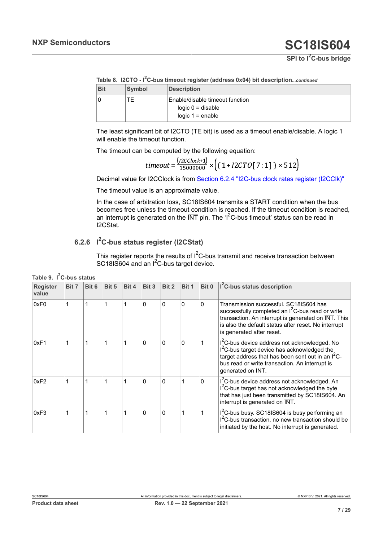|  |  |  |  | Table 8. I2CTO - I <sup>2</sup> C-bus timeout register (address 0x04) bit descriptioncontinuer |
|--|--|--|--|------------------------------------------------------------------------------------------------|
|  |  |  |  |                                                                                                |

| <b>Bit</b> | Symbol | <b>Description</b>                                     |
|------------|--------|--------------------------------------------------------|
|            | TЕ     | Enable/disable timeout function<br>$logic 0 = disable$ |
|            |        | logic $1 =$ enable                                     |

The least significant bit of I2CTO (TE bit) is used as a timeout enable/disable. A logic 1 will enable the timeout function.

The timeout can be computed by the following equation:

$$
timeout = \frac{(12CClock+1)}{15000000} \times \left( (1 + I2CTO[7:1]) \times 512 \right)
$$

Decimal value for I2CClock is from [Section 6.2.4 "I2C-bus clock rates register \(I2CClk\)"](#page-5-3)

The timeout value is an approximate value.

In the case of arbitration loss, SC18IS604 transmits a START condition when the bus becomes free unless the timeout condition is reached. If the timeout condition is reached, an interrupt is generated on the  $\overline{\text{INT}}$  pin. The 'I<sup>2</sup>C-bus timeout' status can be read in I2CStat.

### **6.2.6 I <sup>2</sup>C-bus status register (I2CStat)**

<span id="page-6-1"></span><span id="page-6-0"></span>This register reports the results of  $I^2C$ -bus transmit and receive transaction between SC18IS604 and an I<sup>2</sup>C-bus target device.

| <b>Register</b><br>value | Bit 7 | Bit 6 | Bit 5 | Bit 4 | Bit 3        | Bit 2    | Bit 1    | Bit 0 | I <sup>2</sup> C-bus status description                                                                                                                                                                                                            |
|--------------------------|-------|-------|-------|-------|--------------|----------|----------|-------|----------------------------------------------------------------------------------------------------------------------------------------------------------------------------------------------------------------------------------------------------|
| 0xF0                     |       |       |       |       | 0            | 0        | 0        | 0     | Transmission successful. SC18IS604 has<br>successfully completed an I <sup>2</sup> C-bus read or write<br>transaction. An interrupt is generated on INT. This<br>is also the default status after reset. No interrupt<br>is generated after reset. |
| 0xF1                     |       | 1     | 1     | 1     | $\mathbf{0}$ | $\Omega$ | $\Omega$ |       | I <sup>2</sup> C-bus device address not acknowledged. No<br>I <sup>2</sup> C-bus target device has acknowledged the<br>target address that has been sent out in an $I^2C$ -<br>bus read or write transaction. An interrupt is<br>generated on INT. |
| 0xF2                     |       | 1     | 1     |       | $\mathbf{0}$ | $\Omega$ |          | 0     | I <sup>2</sup> C-bus device address not acknowledged. An<br>I <sup>2</sup> C-bus target has not acknowledged the byte<br>that has just been transmitted by SC18IS604. An<br>interrupt is generated on INT.                                         |
| 0xF3                     |       | 1     | 1     |       | $\Omega$     | 0        |          |       | I <sup>2</sup> C-bus busy. SC18IS604 is busy performing an<br>I <sup>2</sup> C-bus transaction, no new transaction should be<br>initiated by the host. No interrupt is generated.                                                                  |

|  | Table 9. I <sup>2</sup> C-bus status |  |
|--|--------------------------------------|--|
|--|--------------------------------------|--|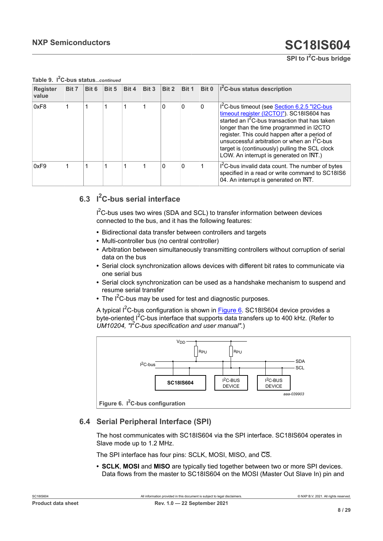| SPI to I <sup>2</sup> C-bus bridge |
|------------------------------------|
|------------------------------------|

| <u>U-Dus statuscommen</u> |       |       |       |       |       |          |       |       |                                                                                                                                                                                                                                                                                                                                                                                                                                             |  |  |  |
|---------------------------|-------|-------|-------|-------|-------|----------|-------|-------|---------------------------------------------------------------------------------------------------------------------------------------------------------------------------------------------------------------------------------------------------------------------------------------------------------------------------------------------------------------------------------------------------------------------------------------------|--|--|--|
| <b>Register</b><br>value  | Bit 7 | Bit 6 | Bit 5 | Bit 4 | Bit 3 | Bit 2    | Bit 1 | Bit 0 | I <sup>2</sup> C-bus status description                                                                                                                                                                                                                                                                                                                                                                                                     |  |  |  |
| 0xF8                      |       |       |       |       |       | 0        | 0     | 0     | I <sup>2</sup> C-bus timeout (see <b>Section 6.2.5 "I2C-bus</b><br>timeout register (I2CTO)"). SC18IS604 has<br>started an I <sup>2</sup> C-bus transaction that has taken<br>longer than the time programmed in I2CTO<br>register. This could happen after a period of<br>unsuccessful arbitration or when an $I2C$ -bus<br>target is (continuously) pulling the SCL clock<br>LOW. An interrupt is generated on $\overline{\text{INT}}$ .) |  |  |  |
| 0xF9                      |       |       |       |       |       | $\Omega$ | 0     |       | I'C-bus invalid data count. The number of bytes<br>specified in a read or write command to SC18IS6<br>04. An interrupt is generated on INT.                                                                                                                                                                                                                                                                                                 |  |  |  |

**Table 9. I <sup>2</sup>C-bus status***...continued*

## **6.3 I <sup>2</sup>C-bus serial interface**

<span id="page-7-1"></span> $I^2$ C-bus uses two wires (SDA and SCL) to transfer information between devices connected to the bus, and it has the following features:

- **•** Bidirectional data transfer between controllers and targets
- **•** Multi-controller bus (no central controller)
- **•** Arbitration between simultaneously transmitting controllers without corruption of serial data on the bus
- **•** Serial clock synchronization allows devices with different bit rates to communicate via one serial bus
- **•** Serial clock synchronization can be used as a handshake mechanism to suspend and resume serial transfer
- The I<sup>2</sup>C-bus may be used for test and diagnostic purposes.

A typical  $I^2C$ -bus configuration is shown in [Figure 6.](#page-7-0) SC18IS604 device provides a byte-oriented I<sup>2</sup>C-bus interface that supports data transfers up to 400 kHz. (Refer to *UM10204, "I2C-bus specification and user manual"*.)

<span id="page-7-0"></span>

## **6.4 Serial Peripheral Interface (SPI)**

<span id="page-7-2"></span>The host communicates with SC18IS604 via the SPI interface. SC18IS604 operates in Slave mode up to 1.2 MHz.

The SPI interface has four pins: SCLK, MOSI, MISO, and  $\overline{\text{CS}}$ .

**• SCLK**, **MOSI** and **MISO** are typically tied together between two or more SPI devices. Data flows from the master to SC18IS604 on the MOSI (Master Out Slave In) pin and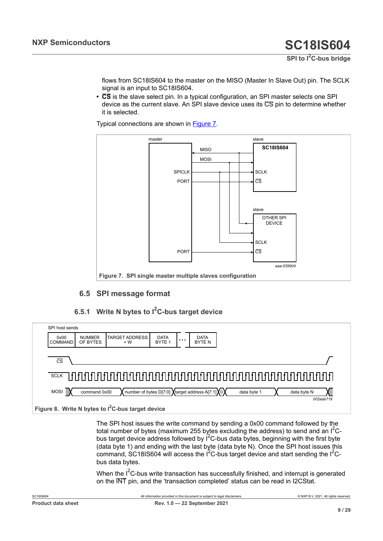**SPI to I2C-bus bridge**

flows from SC18IS604 to the master on the MISO (Master In Slave Out) pin. The SCLK signal is an input to SC18IS604.

**• CS** is the slave select pin. In a typical configuration, an SPI master selects one SPI device as the current slave. An SPI slave device uses its CS pin to determine whether it is selected.

Typical connections are shown in [Figure 7](#page-8-0).

<span id="page-8-0"></span>

### <span id="page-8-2"></span>**6.5 SPI message format**

### <span id="page-8-3"></span>**6.5.1 Write N bytes to I <sup>2</sup>C-bus target device**

<span id="page-8-1"></span>

| SPI host sends         |                           |                                                     |                                  |          |                                                  |             |             |           |  |
|------------------------|---------------------------|-----------------------------------------------------|----------------------------------|----------|--------------------------------------------------|-------------|-------------|-----------|--|
| 0x00<br><b>COMMAND</b> | <b>NUMBER</b><br>OF BYTES | <b>TARGET ADDRESS</b><br>$+W$                       | <b>DATA</b><br>BYTE <sub>1</sub> | $\cdots$ | <b>DATA</b><br><b>BYTEN</b>                      |             |             |           |  |
| $\overline{\text{cs}}$ |                           |                                                     |                                  |          |                                                  |             |             |           |  |
| <b>SCLK</b>            |                           |                                                     |                                  |          |                                                  |             |             |           |  |
| <b>MOSI</b>            | command 0x00              |                                                     |                                  |          | number of bytes D[7:0] Xtarget address A[7:1]X0X | data byte 1 | data byte N | 002aab718 |  |
|                        |                           | Figure 8. Write N bytes to $I2C$ -bus target device |                                  |          |                                                  |             |             |           |  |

The SPI host issues the write command by sending a 0x00 command followed by the total number of bytes (maximum 255 bytes excluding the address) to send and an  $I<sup>2</sup>C$ bus target device address followed by  $I^2C$ -bus data bytes, beginning with the first byte (data byte 1) and ending with the last byte (data byte N). Once the SPI host issues this command, SC18IS604 will access the  $I^2C$ -bus target device and start sending the  $I^2C$ bus data bytes.

When the  $I<sup>2</sup>C$ -bus write transaction has successfully finished, and interrupt is generated on the INT pin, and the 'transaction completed' status can be read in I2CStat.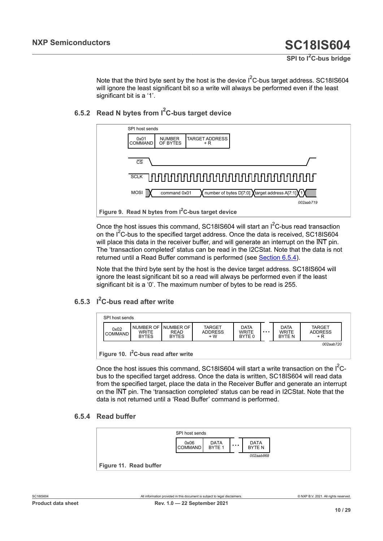Note that the third byte sent by the host is the device  $I^2C$ -bus target address. SC18IS604 will ignore the least significant bit so a write will always be performed even if the least significant bit is a '1'.

#### **6.5.2 Read N bytes from I2C-bus target device**

<span id="page-9-4"></span><span id="page-9-1"></span>

Once the host issues this command, SC18IS604 will start an  $I^2C$ -bus read transaction on the  $I^2C$ -bus to the specified target address. Once the data is received, SC18IS604 will place this data in the receiver buffer, and will generate an interrupt on the INT pin. The 'transaction completed' status can be read in the I2CStat. Note that the data is not returned until a Read Buffer command is performed (see [Section 6.5.4\)](#page-9-0).

Note that the third byte sent by the host is the device target address. SC18IS604 will ignore the least significant bit so a read will always be performed even if the least significant bit is a '0'. The maximum number of bytes to be read is 255.

### **6.5.3 I <sup>2</sup>C-bus read after write**

<span id="page-9-5"></span><span id="page-9-2"></span>

| SPI host sends         |                              |                                                       |                                         |                                       |          |                                             |                                        |  |
|------------------------|------------------------------|-------------------------------------------------------|-----------------------------------------|---------------------------------------|----------|---------------------------------------------|----------------------------------------|--|
| 0x02<br><b>COMMAND</b> | <b>WRITE</b><br><b>BYTES</b> | NUMBER OF INUMBER OF I<br><b>READ</b><br><b>BYTES</b> | <b>TARGET</b><br><b>ADDRESS</b><br>$+W$ | <b>DATA</b><br><b>WRITE</b><br>BYTE 0 | $\cdots$ | <b>DATA</b><br><b>WRITE</b><br><b>BYTEN</b> | <b>TARGET</b><br><b>ADDRESS</b><br>+ R |  |
| $\sim$ $\sim$ $\sim$   |                              |                                                       |                                         |                                       |          |                                             | 002aab720                              |  |

**Figure 10.** I<sup>2</sup>**C-bus read after write** 

Once the host issues this command, SC18IS604 will start a write transaction on the  $I^2C$ bus to the specified target address. Once the data is written, SC18IS604 will read data from the specified target, place the data in the Receiver Buffer and generate an interrupt on the INT pin. The 'transaction completed' status can be read in I2CStat. Note that the data is not returned until a 'Read Buffer' command is performed.

#### **6.5.4 Read buffer**

<span id="page-9-3"></span><span id="page-9-0"></span>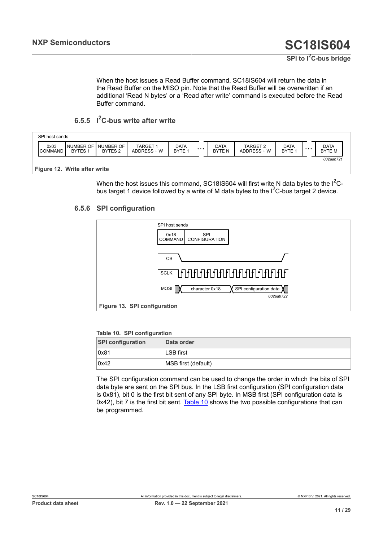When the host issues a Read Buffer command, SC18IS604 will return the data in the Read Buffer on the MISO pin. Note that the Read Buffer will be overwritten if an additional 'Read N bytes' or a 'Read after write' command is executed before the Read Buffer command.

### <span id="page-10-3"></span>**6.5.5 I <sup>2</sup>C-bus write after write**

<span id="page-10-1"></span>

| SPI host sends         |                                   |                                 |                              |                                  |                          |                         |                                  |   |                       |
|------------------------|-----------------------------------|---------------------------------|------------------------------|----------------------------------|--------------------------|-------------------------|----------------------------------|---|-----------------------|
| 0x03<br><b>COMMAND</b> | <b>NUMBER OF</b><br><b>BYTES1</b> | NUMBER OF<br>BYTES <sub>2</sub> | <b>TARGET</b><br>ADDRESS + W | <b>DATA</b><br>BYTE <sub>1</sub> | <br>DATA<br><b>BYTEN</b> | TARGET 2<br>ADDRESS + W | <b>DATA</b><br>BYTE <sub>1</sub> | . | <b>DATA</b><br>BYTE M |
| $ -$                   |                                   | $ -$                            |                              |                                  |                          |                         |                                  |   | 002aab721             |

#### **Figure 12. Write after write**

When the host issues this command, SC18IS604 will first write N data bytes to the  $I^2C$ bus target 1 device followed by a write of M data bytes to the  $I^2C$ -bus target 2 device.

#### **6.5.6 SPI configuration**

<span id="page-10-4"></span><span id="page-10-2"></span>

#### <span id="page-10-0"></span>**Table 10. SPI configuration**

| <b>SPI configuration</b> | Data order          |
|--------------------------|---------------------|
| 0x81                     | LSB first           |
| 0x42                     | MSB first (default) |

The SPI configuration command can be used to change the order in which the bits of SPI data byte are sent on the SPI bus. In the LSB first configuration (SPI configuration data is 0x81), bit 0 is the first bit sent of any SPI byte. In MSB first (SPI configuration data is  $0x42$ ), bit 7 is the first bit sent. [Table](#page-10-0) 10 shows the two possible configurations that can be programmed.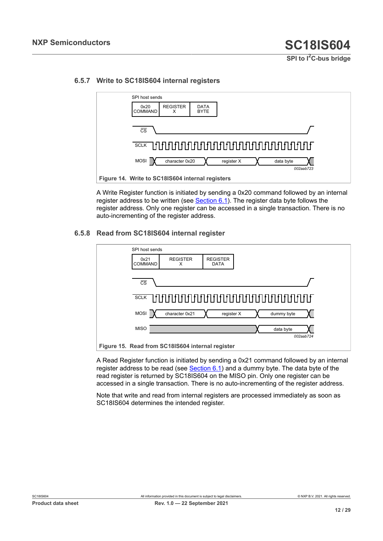<span id="page-11-2"></span><span id="page-11-0"></span>

#### **6.5.7 Write to SC18IS604 internal registers**

A Write Register function is initiated by sending a 0x20 command followed by an internal register address to be written (see [Section 6.1\)](#page-3-2). The register data byte follows the register address. Only one register can be accessed in a single transaction. There is no auto-incrementing of the register address.

#### **6.5.8 Read from SC18IS604 internal register**

<span id="page-11-3"></span><span id="page-11-1"></span>

A Read Register function is initiated by sending a 0x21 command followed by an internal register address to be read (see  $Section 6.1$ ) and a dummy byte. The data byte of the read register is returned by SC18IS604 on the MISO pin. Only one register can be accessed in a single transaction. There is no auto-incrementing of the register address.

Note that write and read from internal registers are processed immediately as soon as SC18IS604 determines the intended register.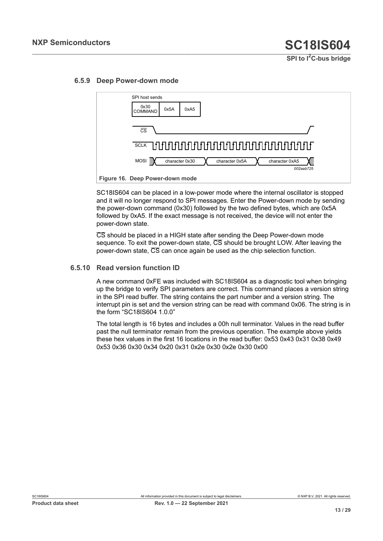<span id="page-12-1"></span><span id="page-12-0"></span>

#### **6.5.9 Deep Power-down mode**

SC18IS604 can be placed in a low-power mode where the internal oscillator is stopped and it will no longer respond to SPI messages. Enter the Power-down mode by sending the power-down command (0x30) followed by the two defined bytes, which are 0x5A followed by 0xA5. If the exact message is not received, the device will not enter the power-down state.

CS should be placed in a HIGH state after sending the Deep Power-down mode sequence. To exit the power-down state,  $\overline{CS}$  should be brought LOW. After leaving the power-down state, CS can once again be used as the chip selection function.

#### **6.5.10 Read version function ID**

<span id="page-12-2"></span>A new command 0xFE was included with SC18IS604 as a diagnostic tool when bringing up the bridge to verify SPI parameters are correct. This command places a version string in the SPI read buffer. The string contains the part number and a version string. The interrupt pin is set and the version string can be read with command 0x06. The string is in the form "SC18IS604 1.0.0"

The total length is 16 bytes and includes a 00h null terminator. Values in the read buffer past the null terminator remain from the previous operation. The example above yields these hex values in the first 16 locations in the read buffer: 0x53 0x43 0x31 0x38 0x49 0x53 0x36 0x30 0x34 0x20 0x31 0x2e 0x30 0x2e 0x30 0x00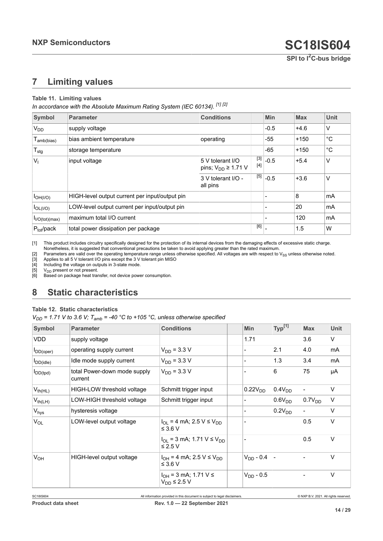## <span id="page-13-8"></span><span id="page-13-0"></span>**7 Limiting values**

#### <span id="page-13-6"></span><span id="page-13-2"></span><span id="page-13-1"></span>**Table 11. Limiting values**

<span id="page-13-4"></span><span id="page-13-3"></span>*In accordance with the Absolute Maximum Rating System (IEC 60134). [\[1\]](#page-13-0) [\[2\]](#page-13-1)*

<span id="page-13-5"></span>

| Symbol                      | <b>Parameter</b>                               | <b>Conditions</b>                              |              | <b>Min</b> | <b>Max</b> | <b>Unit</b> |
|-----------------------------|------------------------------------------------|------------------------------------------------|--------------|------------|------------|-------------|
| V <sub>DD</sub>             | supply voltage                                 |                                                |              | $-0.5$     | $+4.6$     | V           |
| $T_{amb(bias)}$             | bias ambient temperature                       | operating                                      |              | $-55$      | $+150$     | °C          |
| $T_{\text{stg}}$            | storage temperature                            |                                                |              | $-65$      | $+150$     | $^{\circ}C$ |
| $V_{1}$                     | input voltage                                  | 5 V tolerant I/O<br>pins; $V_{DD} \geq 1.71$ V | [3]<br>$[4]$ | $-0.5$     | $+5.4$     | ٧           |
|                             |                                                | 3 V tolerant I/O -<br>all pins                 | $[5]$        | $-0.5$     | $+3.6$     | V           |
| $I_{OH(I/O)}$               | HIGH-level output current per input/output pin |                                                |              |            | 8          | mA          |
| $I_{OL( I/O)}$              | LOW-level output current per input/output pin  |                                                |              |            | 20         | mA          |
| I <sub>I/O</sub> (tot)(max) | maximum total I/O current                      |                                                |              |            | 120        | mA          |
| $P_{\text{tot}}$ /pack      | total power dissipation per package            |                                                | [6]          |            | 1.5        | W           |

[1] This product includes circuitry specifically designed for the protection of its internal devices from the damaging effects of excessive static charge. Nonetheless, it is suggested that conventional precautions be taken to avoid applying greater than the rated maximum.

[2] Parameters are valid over the operating temperature range unless otherwise specified. All voltages are with respect to V<sub>SS</sub> unless otherwise noted.<br>[3] Applies to all 5 V tolerant I/O pins except the 3 V tolerant pin [3] Applies to all 5 V tolerant I/O pins except the 3 V tolerant pin MISO<br>[4] Including the voltage on outputs in 3-state mode.

[4] Including the voltage on outputs in 3-state mode.<br>  $[5]$  V<sub>DD</sub> present or not present.

 $[5]$  V<sub>DD</sub> present or not present.<br>[6] Based on package heat tran

Based on package heat transfer, not device power consumption.

## <span id="page-13-9"></span>**8 Static characteristics**

#### <span id="page-13-7"></span>**Table 12. Static characteristics**

*V<sub>DD</sub>* = 1.71 *V* to 3.6 *V*;  $T_{amb}$  = -40 °C to +105 °C, unless otherwise specified

| <b>Symbol</b>    | <b>Parameter</b>                        | <b>Conditions</b>                                             | Min                 | $Typ^{[1]}$        | <b>Max</b>         | <b>Unit</b> |
|------------------|-----------------------------------------|---------------------------------------------------------------|---------------------|--------------------|--------------------|-------------|
| <b>VDD</b>       | supply voltage                          |                                                               | 1.71                |                    | 3.6                | V           |
| $I_{DD(open)}$   | operating supply current                | $V_{DD}$ = 3.3 V                                              |                     | 2.1                | 4.0                | mA          |
| $I_{DD(idle)}$   | Idle mode supply current                | $V_{DD}$ = 3.3 V                                              |                     | 1.3                | 3.4                | mA          |
| $I_{DD(tpd)}$    | total Power-down mode supply<br>current | $V_{DD}$ = 3.3 V                                              |                     | 6                  | 75                 | μA          |
| $V_{th(HL)}$     | HIGH-LOW threshold voltage              | Schmitt trigger input                                         | 0.22V <sub>DD</sub> | 0.4V <sub>DD</sub> |                    | V           |
| $V_{th(LH)}$     | LOW-HIGH threshold voltage              | Schmitt trigger input                                         |                     | 0.6V <sub>DD</sub> | 0.7V <sub>DD</sub> | V           |
| $V_{\text{hys}}$ | hysteresis voltage                      |                                                               |                     | 0.2V <sub>DD</sub> |                    | V           |
| $V_{OL}$         | LOW-level output voltage                | $I_{OI}$ = 4 mA; 2.5 V $\leq$ V <sub>DD</sub><br>$\leq$ 3.6 V |                     |                    | 0.5                | V           |
|                  |                                         | $I_{OL}$ = 3 mA; 1.71 V $\leq$ V <sub>DD</sub><br>≤ 2.5 V     |                     |                    | 0.5                | V           |
| V <sub>OH</sub>  | HIGH-level output voltage               | $I_{OH} = 4$ mA; 2.5 V $\leq$ V <sub>DD</sub><br>$\leq$ 3.6 V | $V_{DD} - 0.4$      |                    |                    | V           |
|                  |                                         | $I_{OH}$ = 3 mA; 1.71 V $\leq$<br>$V_{DD} \leq 2.5 V$         | $V_{DD}$ - 0.5      |                    |                    | V           |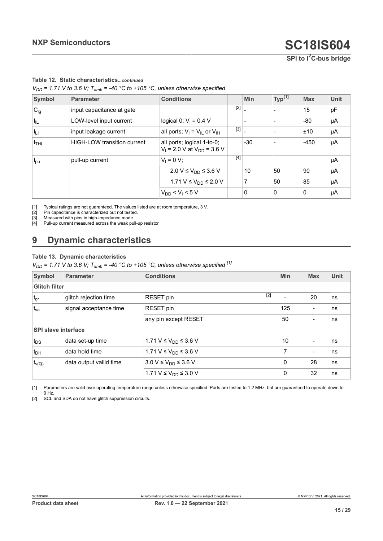**SPI to I2C-bus bridge**

#### <span id="page-14-0"></span>**Table 12. Static characteristics***...continued*

<span id="page-14-2"></span><span id="page-14-1"></span> $V_{DD}$  = 1.71 V to 3.6 V;  $T_{amb}$  = -40 °C to +105 °C, unless otherwise specified

<span id="page-14-3"></span>

| Symbol                     | <b>Parameter</b>            | <b>Conditions</b>                                               |       | <b>Min</b> | Typ <sup>[1]</sup> | <b>Max</b> | Unit |
|----------------------------|-----------------------------|-----------------------------------------------------------------|-------|------------|--------------------|------------|------|
| $C_{ig}$                   | input capacitance at gate   |                                                                 | $[2]$ |            |                    | 15         | pF   |
| $\mathsf{I}_{\mathsf{IL}}$ | LOW-level input current     | logical 0; $V_1 = 0.4 V$                                        |       |            |                    | $-80$      | μA   |
| $ I_{\rm LI} $             | input leakage current       | all ports; $V_I = V_{IL}$ or $V_{IH}$                           | $[3]$ |            |                    | ±10        | μA   |
| $I_{THL}$                  | HIGH-LOW transition current | all ports; logical 1-to-0;<br>$V_1$ = 2.0 V at $V_{DD}$ = 3.6 V |       | $-30$      |                    | $-450$     | μA   |
| <b>I</b> pu                | pull-up current             | $V_1 = 0 V$ ;                                                   | $[4]$ |            |                    |            | μA   |
|                            |                             | 2.0 V ≤ V <sub>DD</sub> ≤ 3.6 V                                 |       | 10         | 50                 | 90         | μA   |
|                            |                             | 1.71 V ≤ $V_{DD}$ ≤ 2.0 V                                       |       | 7          | 50                 | 85         | μA   |
|                            |                             | $V_{DD}$ < $V_{I}$ < 5 V                                        |       | 0          | 0                  | 0          | μA   |

[1] Typical ratings are not guaranteed. The values listed are at room temperature, 3 V.

[2] Pin capacitance is characterized but not tested.<br>[3] Measured with pins in high-impedance mode. [3] Measured with pins in high-impedance mode.<br>[4] Pull-up current measured across the weak pu

Pull-up current measured across the weak pull-up resistor

## <span id="page-14-5"></span>**9 Dynamic characteristics**

#### **Table 13. Dynamic characteristics**

<span id="page-14-4"></span> $V_{DD}$  = 1.71 V to 3.6 V;  $T_{amb}$  = -40 °C to +105 °C, unless otherwise specified <sup>[\[1\]](#page-14-0)</sup>

| Symbol                     | Parameter               | <b>Conditions</b>                |       | <b>Min</b> | <b>Max</b> | <b>Unit</b> |
|----------------------------|-------------------------|----------------------------------|-------|------------|------------|-------------|
| <b>Glitch filter</b>       |                         |                                  |       |            |            |             |
| $ t_{gr} $                 | glitch rejection time   | <b>RESET</b> pin                 | $[2]$ |            | 20         | ns          |
| $t_{sa}$                   | signal acceptance time  | <b>RESET</b> pin                 |       | 125        |            | ns          |
|                            |                         | any pin except RESET             |       | 50         |            | ns          |
| <b>SPI slave interface</b> |                         |                                  |       |            |            |             |
| $t_{DS}$                   | data set-up time        | 1.71 V ≤ V <sub>DD</sub> ≤ 3.6 V |       | 10         |            | ns          |
| $t_{DH}$                   | data hold time          | 1.71 V ≤ V <sub>DD</sub> ≤ 3.6 V |       | 7          |            | ns          |
| $t_{\nu(Q)}$               | data output vallid time | 3.0 V ≤ $V_{DD}$ ≤ 3.6 V         |       | $\Omega$   | 28         | ns          |
|                            |                         | 1.71 V ≤ V <sub>DD</sub> ≤ 3.0 V |       | 0          | 32         | ns          |

[1] Parameters are valid over operating temperature range unless otherwise specified. Parts are tested to 1.2 MHz, but are guaranteed to operate down to 0 Hz.

[2] SCL and SDA do not have glitch suppression circuits.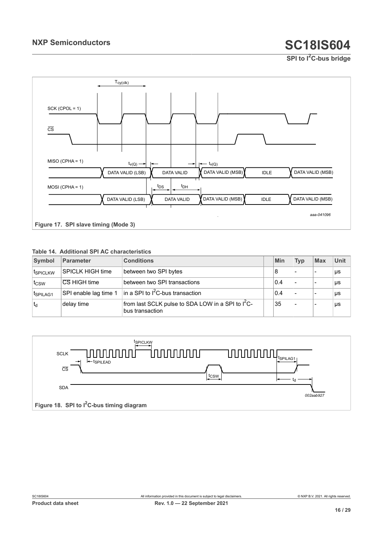**SPI to I2C-bus bridge**

<span id="page-15-1"></span>

#### <span id="page-15-0"></span>**Table 14. Additional SPI AC characteristics**

| Symbol           | Parameter             | <b>Conditions</b>                                                                | Min | <b>Typ</b>               | <b>Max</b> | Unit |
|------------------|-----------------------|----------------------------------------------------------------------------------|-----|--------------------------|------------|------|
| <b>ISPICLKW</b>  | SPICLK HIGH time      | between two SPI bytes                                                            | 8   |                          | ۰          | μs   |
| t <sub>CSW</sub> | CS HIGH time          | between two SPI transactions                                                     | 0.4 | $\blacksquare$           |            | μs   |
| ISPILAG1         | SPI enable lag time 1 | $\ln a$ SPI to I <sup>2</sup> C-bus transaction                                  | 0.4 | $\overline{\phantom{0}}$ |            | μs   |
| td               | delay time            | from last SCLK pulse to SDA LOW in a SPI to I <sup>2</sup> C-<br>bus transaction | 35  | $\overline{\phantom{a}}$ |            | μs   |

<span id="page-15-2"></span>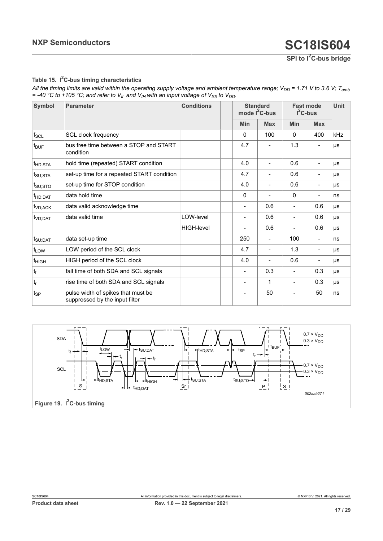**SPI to I2C-bus bridge**

#### <span id="page-16-0"></span>**Table 15. I <sup>2</sup>C-bus timing characteristics**

*All the timing limits are valid within the operating supply voltage and ambient temperature range; V<sub>DD</sub> = 1.71 V to 3.6 V; T<sub>amb</sub>*  $=$  -40 °C to +105 °C; and refer to  $V_{I\perp}$  and  $V_{I\parallel}$  with an input voltage of  $V_{SS}$  to  $V_{DD}$ .

| <b>Symbol</b>                  | <b>Parameter</b>                                                     | <b>Conditions</b> |            | <b>Standard</b><br>mode $I^2C$ -bus |                          | <b>Fast mode</b><br>$I^2C$ -bus |     |
|--------------------------------|----------------------------------------------------------------------|-------------------|------------|-------------------------------------|--------------------------|---------------------------------|-----|
|                                |                                                                      |                   | <b>Min</b> | <b>Max</b>                          | <b>Min</b>               | <b>Max</b>                      |     |
| $f_{SCL}$                      | <b>SCL clock frequency</b>                                           |                   | $\Omega$   | 100                                 | $\Omega$                 | 400                             | kHz |
| $t_{\mathsf{BUF}}$             | bus free time between a STOP and START<br>condition                  |                   | 4.7        |                                     | 1.3                      | $\overline{\phantom{a}}$        | μs  |
| $t_{HD;STA}$                   | hold time (repeated) START condition                                 |                   | 4.0        |                                     | 0.6                      | $\overline{\phantom{0}}$        | μs  |
| $t_{\text{SU;STA}}$            | set-up time for a repeated START condition                           |                   | 4.7        |                                     | 0.6                      | $\overline{\phantom{0}}$        | μs  |
| $t_{\mathsf{SU};\mathsf{STO}}$ | set-up time for STOP condition                                       |                   | 4.0        |                                     | 0.6                      | $\overline{\phantom{a}}$        | μs  |
| t <sub>HD;DAT</sub>            | data hold time                                                       |                   | $\Omega$   |                                     | $\Omega$                 | $\blacksquare$                  | ns  |
| $t_{VD;ACK}$                   | data valid acknowledge time                                          |                   |            | 0.6                                 | $\overline{a}$           | 0.6                             | μs  |
| t <sub>VD;DAT</sub>            | data valid time                                                      | LOW-level         |            | 0.6                                 | $\overline{\phantom{0}}$ | 0.6                             | μs  |
|                                |                                                                      | <b>HIGH-level</b> |            | 0.6                                 | $\overline{\phantom{0}}$ | 0.6                             | μs  |
| $t_{\text{SU;DAT}}$            | data set-up time                                                     |                   | 250        |                                     | 100                      | $\blacksquare$                  | ns  |
| t <sub>LOW</sub>               | LOW period of the SCL clock                                          |                   | 4.7        |                                     | 1.3                      | $\overline{\phantom{a}}$        | μs  |
| t <sub>HIGH</sub>              | HIGH period of the SCL clock                                         |                   | 4.0        |                                     | 0.6                      | $\overline{\phantom{a}}$        | μs  |
| $t_f$                          | fall time of both SDA and SCL signals                                |                   |            | 0.3                                 | $\overline{\phantom{a}}$ | 0.3                             | μs  |
| t <sub>r</sub>                 | rise time of both SDA and SCL signals                                |                   |            | 1                                   | $\overline{\phantom{0}}$ | 0.3                             | μs  |
| t <sub>SP</sub>                | pulse width of spikes that must be<br>suppressed by the input filter |                   |            | 50                                  |                          | 50                              | ns  |

<span id="page-16-1"></span>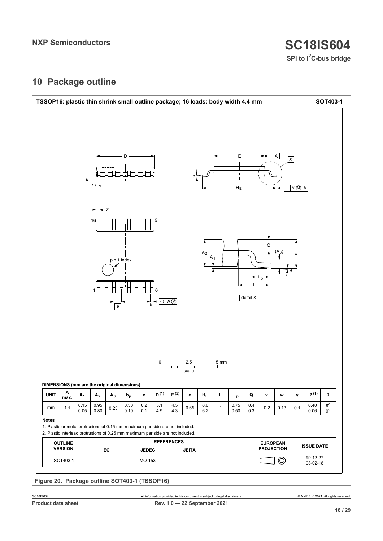**SPI to I2C-bus bridge**

## <span id="page-17-1"></span>**10 Package outline**

<span id="page-17-0"></span>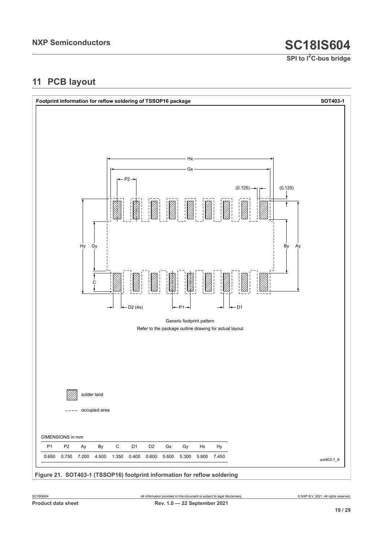**SPI to I2C-bus bridge**

## <span id="page-18-1"></span>**11 PCB layout**

<span id="page-18-0"></span>

**Figure 21. SOT403-1 (TSSOP16) footprint information for reflow soldering**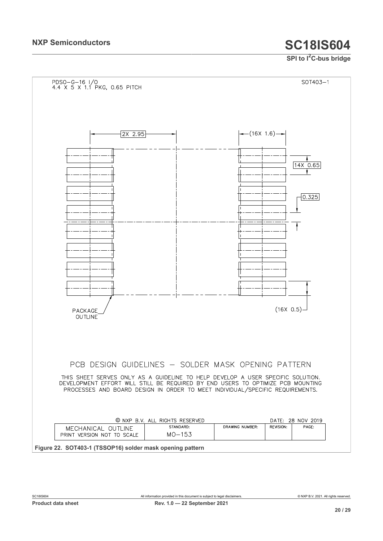## **SPI to I2C-bus bridge**

<span id="page-19-0"></span>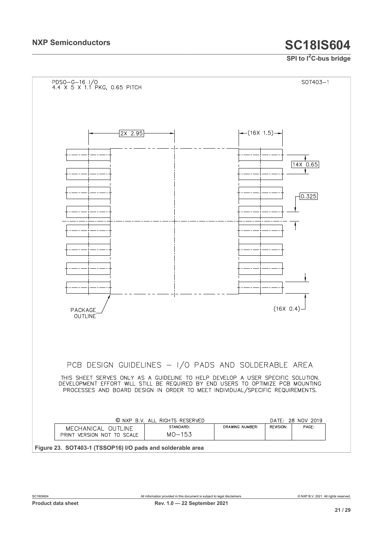## **SPI to I2C-bus bridge**

<span id="page-20-0"></span>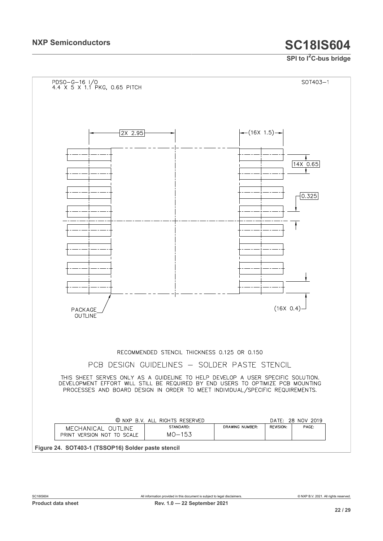## **SPI to I2C-bus bridge**

<span id="page-21-0"></span>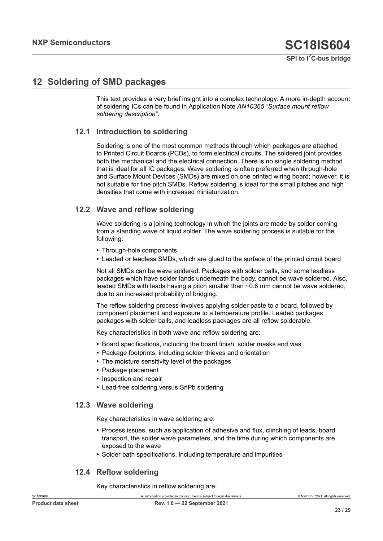## <span id="page-22-0"></span>**12 Soldering of SMD packages**

This text provides a very brief insight into a complex technology. A more in-depth account of soldering ICs can be found in Application Note *AN10365 "Surface mount reflow soldering description"*.

#### **12.1 Introduction to soldering**

Soldering is one of the most common methods through which packages are attached to Printed Circuit Boards (PCBs), to form electrical circuits. The soldered joint provides both the mechanical and the electrical connection. There is no single soldering method that is ideal for all IC packages. Wave soldering is often preferred when through-hole and Surface Mount Devices (SMDs) are mixed on one printed wiring board; however, it is not suitable for fine pitch SMDs. Reflow soldering is ideal for the small pitches and high densities that come with increased miniaturization.

#### **12.2 Wave and reflow soldering**

Wave soldering is a joining technology in which the joints are made by solder coming from a standing wave of liquid solder. The wave soldering process is suitable for the following:

- **•** Through-hole components
- **•** Leaded or leadless SMDs, which are glued to the surface of the printed circuit board

Not all SMDs can be wave soldered. Packages with solder balls, and some leadless packages which have solder lands underneath the body, cannot be wave soldered. Also, leaded SMDs with leads having a pitch smaller than ~0.6 mm cannot be wave soldered, due to an increased probability of bridging.

The reflow soldering process involves applying solder paste to a board, followed by component placement and exposure to a temperature profile. Leaded packages, packages with solder balls, and leadless packages are all reflow solderable.

Key characteristics in both wave and reflow soldering are:

- **•** Board specifications, including the board finish, solder masks and vias
- **•** Package footprints, including solder thieves and orientation
- **•** The moisture sensitivity level of the packages
- **•** Package placement
- **•** Inspection and repair
- **•** Lead-free soldering versus SnPb soldering

#### **12.3 Wave soldering**

Key characteristics in wave soldering are:

- **•** Process issues, such as application of adhesive and flux, clinching of leads, board transport, the solder wave parameters, and the time during which components are exposed to the wave
- **•** Solder bath specifications, including temperature and impurities

#### **12.4 Reflow soldering**

Key characteristics in reflow soldering are: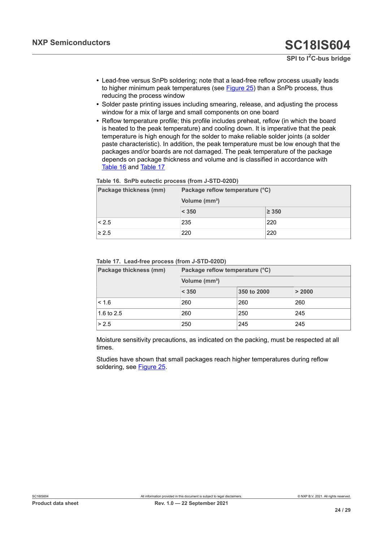**SPI to I2C-bus bridge**

- **•** Lead-free versus SnPb soldering; note that a lead-free reflow process usually leads to higher minimum peak temperatures (see [Figure 25](#page-24-0)) than a SnPb process, thus reducing the process window
- **•** Solder paste printing issues including smearing, release, and adjusting the process window for a mix of large and small components on one board
- **•** Reflow temperature profile; this profile includes preheat, reflow (in which the board is heated to the peak temperature) and cooling down. It is imperative that the peak temperature is high enough for the solder to make reliable solder joints (a solder paste characteristic). In addition, the peak temperature must be low enough that the packages and/or boards are not damaged. The peak temperature of the package depends on package thickness and volume and is classified in accordance with [Table](#page-23-0) 16 and [Table](#page-23-1) 17

<span id="page-23-0"></span>

|  | Table 16. SnPb eutectic process (from J-STD-020D) |  |  |
|--|---------------------------------------------------|--|--|
|--|---------------------------------------------------|--|--|

| Package thickness (mm) | Package reflow temperature (°C)<br>Volume (mm <sup>3</sup> ) |            |  |
|------------------------|--------------------------------------------------------------|------------|--|
|                        |                                                              |            |  |
|                        | < 350                                                        | $\geq$ 350 |  |
| < 2.5                  | 235                                                          | 220        |  |
| $\geq 2.5$             | 220                                                          | 220        |  |

#### <span id="page-23-1"></span>**Table 17. Lead-free process (from J-STD-020D)**

| Package thickness (mm) | Package reflow temperature (°C) |             |        |  |
|------------------------|---------------------------------|-------------|--------|--|
|                        | Volume (mm <sup>3</sup> )       |             |        |  |
|                        | < 350                           | 350 to 2000 | > 2000 |  |
| < 1.6                  | 260                             | 260         | 260    |  |
| 1.6 to $2.5$           | 260                             | 250         | 245    |  |
| > 2.5                  | 250                             | 245         | 245    |  |

Moisture sensitivity precautions, as indicated on the packing, must be respected at all times.

Studies have shown that small packages reach higher temperatures during reflow soldering, see [Figure 25](#page-24-0).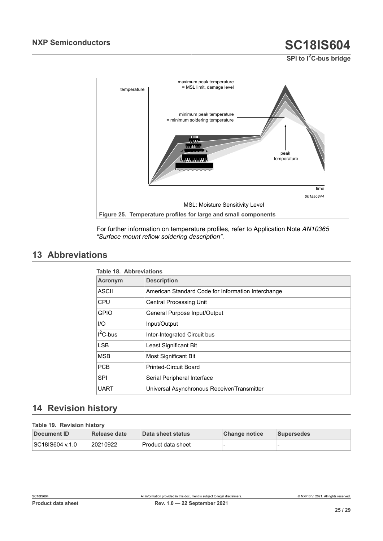**SPI to I2C-bus bridge**

<span id="page-24-0"></span>

For further information on temperature profiles, refer to Application Note *AN10365 "Surface mount reflow soldering description"*.

## <span id="page-24-3"></span>**13 Abbreviations**

<span id="page-24-1"></span>

| <b>Table 18. Abbreviations</b> |                                                    |  |  |
|--------------------------------|----------------------------------------------------|--|--|
| <b>Acronym</b>                 | <b>Description</b>                                 |  |  |
| ASCII                          | American Standard Code for Information Interchange |  |  |
| <b>CPU</b>                     | <b>Central Processing Unit</b>                     |  |  |
| <b>GPIO</b>                    | General Purpose Input/Output                       |  |  |
| I/O                            | Input/Output                                       |  |  |
| $I^2C$ -bus                    | Inter-Integrated Circuit bus                       |  |  |
| <b>LSB</b>                     | Least Significant Bit                              |  |  |
| <b>MSB</b>                     | Most Significant Bit                               |  |  |
| <b>PCB</b>                     | <b>Printed-Circuit Board</b>                       |  |  |
| <b>SPI</b>                     | Serial Peripheral Interface                        |  |  |
| <b>UART</b>                    | Universal Asynchronous Receiver/Transmitter        |  |  |

## <span id="page-24-4"></span>**14 Revision history**

<span id="page-24-2"></span>**Table 19. Revision history**

| Table 19. Revision history |              |                    |                      |                   |  |
|----------------------------|--------------|--------------------|----------------------|-------------------|--|
| Document ID                | Release date | Data sheet status  | <b>Change notice</b> | <b>Supersedes</b> |  |
| SC18IS604 v.1.0            | 20210922     | Product data sheet |                      |                   |  |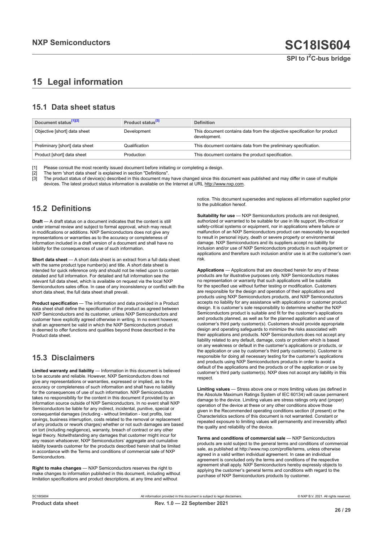## <span id="page-25-0"></span>**15 Legal information**

#### **15.1 Data sheet status**

| Document status <sup>[1][2]</sup> | Product status <sup>[3]</sup> | <b>Definition</b>                                                                        |
|-----------------------------------|-------------------------------|------------------------------------------------------------------------------------------|
| Objective [short] data sheet      | Development                   | This document contains data from the objective specification for product<br>development. |
| Preliminary [short] data sheet    | Qualification                 | This document contains data from the preliminary specification.                          |
| Product [short] data sheet        | Production                    | This document contains the product specification.                                        |

[1] Please consult the most recently issued document before initiating or completing a design.<br>[2] The term 'short data sheet' is explained in section "Definitions".

t :<br>[2] The term 'short data sheet' is explained in section "Definitions".<br>[3] The product status of device(s) described in this document may

The product status of device(s) described in this document may have changed since this document was published and may differ in case of multiple devices. The latest product status information is available on the Internet at URL http://www.nxp.com.

#### **15.2 Definitions**

**Draft** — A draft status on a document indicates that the content is still under internal review and subject to formal approval, which may result in modifications or additions. NXP Semiconductors does not give any representations or warranties as to the accuracy or completeness of information included in a draft version of a document and shall have no liability for the consequences of use of such information.

**Short data sheet** — A short data sheet is an extract from a full data sheet with the same product type number(s) and title. A short data sheet is intended for quick reference only and should not be relied upon to contain detailed and full information. For detailed and full information see the relevant full data sheet, which is available on request via the local NXP Semiconductors sales office. In case of any inconsistency or conflict with the short data sheet, the full data sheet shall prevail.

**Product specification** — The information and data provided in a Product data sheet shall define the specification of the product as agreed between NXP Semiconductors and its customer, unless NXP Semiconductors and customer have explicitly agreed otherwise in writing. In no event however, shall an agreement be valid in which the NXP Semiconductors product is deemed to offer functions and qualities beyond those described in the Product data sheet.

### **15.3 Disclaimers**

**Limited warranty and liability** — Information in this document is believed to be accurate and reliable. However, NXP Semiconductors does not give any representations or warranties, expressed or implied, as to the accuracy or completeness of such information and shall have no liability for the consequences of use of such information. NXP Semiconductors takes no responsibility for the content in this document if provided by an information source outside of NXP Semiconductors. In no event shall NXP Semiconductors be liable for any indirect, incidental, punitive, special or consequential damages (including - without limitation - lost profits, lost savings, business interruption, costs related to the removal or replacement of any products or rework charges) whether or not such damages are based on tort (including negligence), warranty, breach of contract or any other legal theory. Notwithstanding any damages that customer might incur for any reason whatsoever, NXP Semiconductors' aggregate and cumulative liability towards customer for the products described herein shall be limited in accordance with the Terms and conditions of commercial sale of NXP **Semiconductors** 

**Right to make changes** — NXP Semiconductors reserves the right to make changes to information published in this document, including without limitation specifications and product descriptions, at any time and without

notice. This document supersedes and replaces all information supplied prior to the publication hereof.

**Suitability for use** — NXP Semiconductors products are not designed, authorized or warranted to be suitable for use in life support, life-critical or safety-critical systems or equipment, nor in applications where failure or malfunction of an NXP Semiconductors product can reasonably be expected to result in personal injury, death or severe property or environmental damage. NXP Semiconductors and its suppliers accept no liability for inclusion and/or use of NXP Semiconductors products in such equipment or applications and therefore such inclusion and/or use is at the customer's own risk.

**Applications** — Applications that are described herein for any of these products are for illustrative purposes only. NXP Semiconductors makes no representation or warranty that such applications will be suitable for the specified use without further testing or modification. Customers are responsible for the design and operation of their applications and products using NXP Semiconductors products, and NXP Semiconductors accepts no liability for any assistance with applications or customer product design. It is customer's sole responsibility to determine whether the NXP Semiconductors product is suitable and fit for the customer's applications and products planned, as well as for the planned application and use of customer's third party customer(s). Customers should provide appropriate design and operating safeguards to minimize the risks associated with their applications and products. NXP Semiconductors does not accept any liability related to any default, damage, costs or problem which is based on any weakness or default in the customer's applications or products, or the application or use by customer's third party customer(s). Customer is responsible for doing all necessary testing for the customer's applications and products using NXP Semiconductors products in order to avoid a default of the applications and the products or of the application or use by customer's third party customer(s). NXP does not accept any liability in this respect.

**Limiting values** — Stress above one or more limiting values (as defined in the Absolute Maximum Ratings System of IEC 60134) will cause permanent damage to the device. Limiting values are stress ratings only and (proper) operation of the device at these or any other conditions above those given in the Recommended operating conditions section (if present) or the Characteristics sections of this document is not warranted. Constant or repeated exposure to limiting values will permanently and irreversibly affect the quality and reliability of the device.

**Terms and conditions of commercial sale** — NXP Semiconductors products are sold subject to the general terms and conditions of commercial sale, as published at http://www.nxp.com/profile/terms, unless otherwise agreed in a valid written individual agreement. In case an individual agreement is concluded only the terms and conditions of the respective agreement shall apply. NXP Semiconductors hereby expressly objects to applying the customer's general terms and conditions with regard to the purchase of NXP Semiconductors products by customer.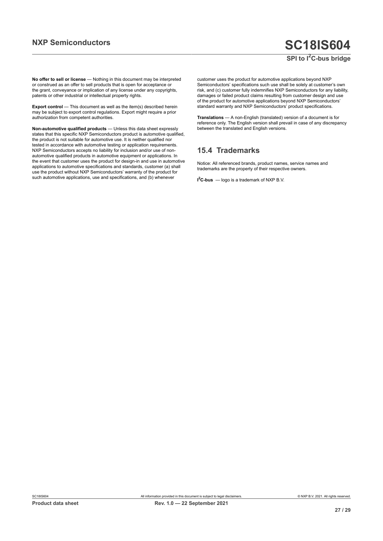### **SPI to I2C-bus bridge**

**No offer to sell or license** — Nothing in this document may be interpreted or construed as an offer to sell products that is open for acceptance or the grant, conveyance or implication of any license under any copyrights, patents or other industrial or intellectual property rights.

**Export control** — This document as well as the item(s) described herein may be subject to export control regulations. Export might require a prior authorization from competent authorities.

**Non-automotive qualified products** — Unless this data sheet expressly states that this specific NXP Semiconductors product is automotive qualified, the product is not suitable for automotive use. It is neither qualified nor tested in accordance with automotive testing or application requirements. NXP Semiconductors accepts no liability for inclusion and/or use of nonautomotive qualified products in automotive equipment or applications. In the event that customer uses the product for design-in and use in automotive applications to automotive specifications and standards, customer (a) shall use the product without NXP Semiconductors' warranty of the product for such automotive applications, use and specifications, and (b) whenever

customer uses the product for automotive applications beyond NXP Semiconductors' specifications such use shall be solely at customer's own risk, and (c) customer fully indemnifies NXP Semiconductors for any liability, damages or failed product claims resulting from customer design and use of the product for automotive applications beyond NXP Semiconductors' standard warranty and NXP Semiconductors' product specifications.

**Translations** — A non-English (translated) version of a document is for reference only. The English version shall prevail in case of any discrepancy between the translated and English versions.

#### **15.4 Trademarks**

Notice: All referenced brands, product names, service names and trademarks are the property of their respective owners.

**I <sup>2</sup>C-bus** — logo is a trademark of NXP B.V.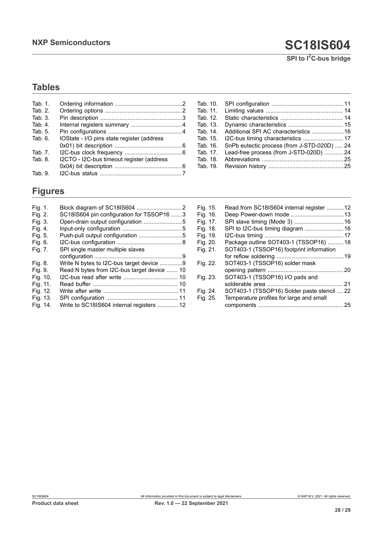## **Tables**

| Tab. $1$ . |                                            |  |
|------------|--------------------------------------------|--|
| Tab. 2.    |                                            |  |
| Tab. 3.    |                                            |  |
| Tab. 4.    |                                            |  |
| Tab. 5.    |                                            |  |
| Tab. 6.    | IOState - I/O pins state register (address |  |
|            |                                            |  |
| Tab. 7.    |                                            |  |
| Tab. 8.    | I2CTO - I2C-bus timeout register (address  |  |
|            |                                            |  |
| Tab. 9.    |                                            |  |

## **Figures**

| Fig. 1.  |                                             |
|----------|---------------------------------------------|
| Fig. 2.  | SC18IS604 pin configuration for TSSOP16 3   |
| Fig. 3.  |                                             |
| Fig. 4.  |                                             |
| Fig. 5.  | Push-pull output configuration 5            |
| Fig. 6.  |                                             |
| Fig. 7.  | SPI single master multiple slaves           |
|          |                                             |
| Fig. 8.  | Write N bytes to I2C-bus target device 9    |
| Fig. 9.  | Read N bytes from I2C-bus target device  10 |
| Fig. 10. |                                             |
| Fig. 11. |                                             |
| Fig. 12. |                                             |
| Fig. 13. |                                             |
| Fig. 14. | Write to SC18IS604 internal registers  12   |

[Tab.](#page-10-0) 10. [SPI configuration .............................................11](#page-10-0) [Tab.](#page-13-6) 11. [Limiting values ................................................](#page-13-6) 14 [Tab.](#page-13-7) 12. [Static characteristics .......................................](#page-13-7) 14 [Tab.](#page-14-4) 13. [Dynamic characteristics ..................................](#page-14-4) 15 [Tab.](#page-15-0) 14. Additional SPI AC characteristics ...................... 16<br>Tab. 15. I2C-bus timing characteristics ......................... 17 [Tab.](#page-16-0) 15. [I2C-bus timing characteristics .........................](#page-16-0) 17 [Tab.](#page-23-0) 16. [SnPb eutectic process \(from J-STD-020D\) .....](#page-23-0) 24<br>Tab. 17. Lead-free process (from J-STD-020D) ............24 [Tab.](#page-23-1) 17. [Lead-free process \(from J-STD-020D\) ............24](#page-23-1) [Tab.](#page-24-1) 18. [Abbreviations ...................................................25](#page-24-1) [Tab.](#page-24-2) 19. [Revision history ...............................................25](#page-24-2)

| Fig. 15. | Read from SC18IS604 internal register 12    |     |
|----------|---------------------------------------------|-----|
| Fig. 16. |                                             |     |
| Fig. 17. |                                             |     |
| Fig. 18. | SPI to I2C-bus timing diagram  16           |     |
| Fig. 19. |                                             |     |
| Fig. 20. | Package outline SOT403-1 (TSSOP16) 18       |     |
| Fig. 21. | SOT403-1 (TSSOP16) footprint information    |     |
|          |                                             |     |
| Fig. 22. | SOT403-1 (TSSOP16) solder mask              |     |
|          |                                             |     |
| Fig. 23. | SOT403-1 (TSSOP16) I/O pads and             |     |
|          |                                             | -21 |
| Fig. 24. | SOT403-1 (TSSOP16) Solder paste stencil  22 |     |
| Fig. 25. | Temperature profiles for large and small    |     |
|          |                                             | 25  |
|          |                                             |     |